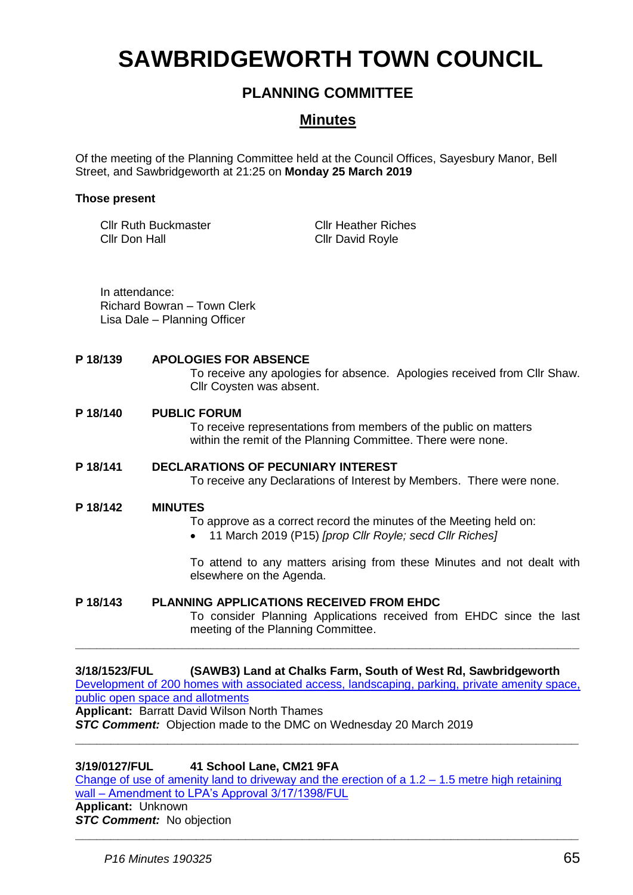# **SAWBRIDGEWORTH TOWN COUNCIL**

## **PLANNING COMMITTEE**

## **Minutes**

Of the meeting of the Planning Committee held at the Council Offices, Sayesbury Manor, Bell Street, and Sawbridgeworth at 21:25 on **Monday 25 March 2019**

#### **Those present**

Cllr Ruth Buckmaster Cllr Don Hall

Cllr Heather Riches Cllr David Royle

In attendance: Richard Bowran – Town Clerk Lisa Dale – Planning Officer

#### **P 18/139 APOLOGIES FOR ABSENCE**

To receive any apologies for absence. Apologies received from Cllr Shaw. Cllr Coysten was absent.

#### **P 18/140 PUBLIC FORUM**

To receive representations from members of the public on matters within the remit of the Planning Committee. There were none.

#### **P 18/141 DECLARATIONS OF PECUNIARY INTEREST**

To receive any Declarations of Interest by Members. There were none.

#### **P 18/142 MINUTES**

To approve as a correct record the minutes of the Meeting held on:

11 March 2019 (P15) *[prop Cllr Royle; secd Cllr Riches]*

To attend to any matters arising from these Minutes and not dealt with elsewhere on the Agenda.

#### **P 18/143 PLANNING APPLICATIONS RECEIVED FROM EHDC**

To consider Planning Applications received from EHDC since the last meeting of the Planning Committee.

**3/18/1523/FUL (SAWB3) Land at Chalks Farm, South of West Rd, Sawbridgeworth** [Development of 200 homes with associated access, landscaping, parking, private amenity space,](https://publicaccess.eastherts.gov.uk/online-applications/applicationDetails.do?activeTab=documents&keyVal=PBAEOAGLMNG00)  [public open space and allotments](https://publicaccess.eastherts.gov.uk/online-applications/applicationDetails.do?activeTab=documents&keyVal=PBAEOAGLMNG00) **Applicant:** Barratt David Wilson North Thames

**\_\_\_\_\_\_\_\_\_\_\_\_\_\_\_\_\_\_\_\_\_\_\_\_\_\_\_\_\_\_\_\_\_\_\_\_\_\_\_\_\_\_\_\_\_\_\_\_\_\_\_\_\_\_\_\_\_\_\_\_\_\_\_\_\_\_\_\_\_\_\_**

**\_\_\_\_\_\_\_\_\_\_\_\_\_\_\_\_\_\_\_\_\_\_\_\_\_\_\_\_\_\_\_\_\_\_\_\_\_\_\_\_\_\_\_\_\_\_\_\_\_\_\_\_\_\_\_\_\_\_\_\_\_\_\_\_\_\_\_\_\_\_\_**

*STC Comment:* Objection made to the DMC on Wednesday 20 March 2019

#### **3/19/0127/FUL 41 School Lane, CM21 9FA**

Change of use of amenity land to driveway and the erection of a  $1.2 - 1.5$  metre high retaining wall – [Amendment to LPA's Approval 3/17/1398/FUL](https://publicaccess.eastherts.gov.uk/online-applications/applicationDetails.do?activeTab=documents&keyVal=PLU069GL00X00) **Applicant:** Unknown *STC Comment:* No objection

**\_\_\_\_\_\_\_\_\_\_\_\_\_\_\_\_\_\_\_\_\_\_\_\_\_\_\_\_\_\_\_\_\_\_\_\_\_\_\_\_\_\_\_\_\_\_\_\_\_\_\_\_\_\_\_\_\_\_\_\_\_\_\_\_\_\_\_\_\_\_\_**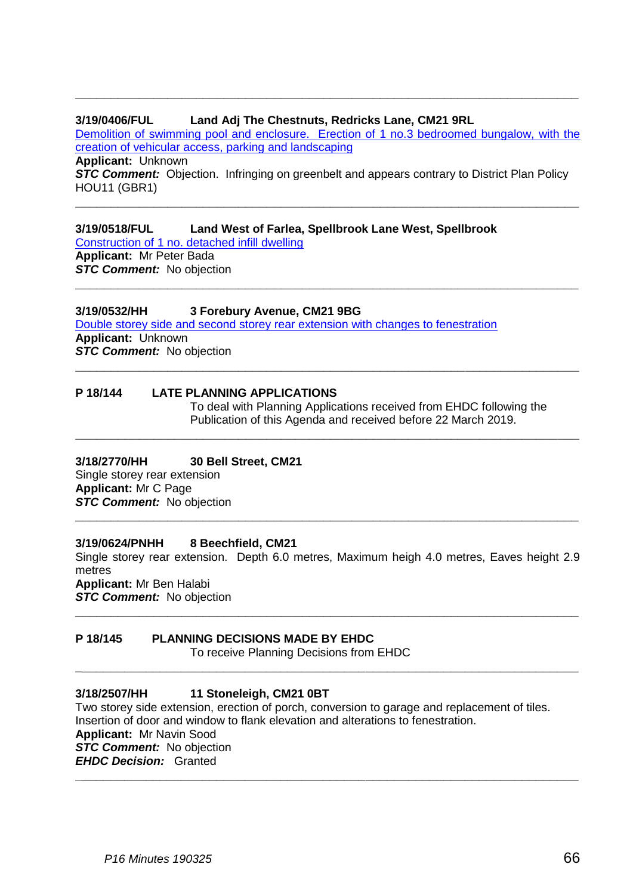#### **3/19/0406/FUL Land Adj The Chestnuts, Redricks Lane, CM21 9RL**

[Demolition of swimming pool and enclosure. Erection of 1 no.3 bedroomed bungalow, with the](https://publicaccess.eastherts.gov.uk/online-applications/applicationDetails.do?activeTab=documents&keyVal=PNBTEEGLI6K00)  [creation of vehicular access, parking and landscaping](https://publicaccess.eastherts.gov.uk/online-applications/applicationDetails.do?activeTab=documents&keyVal=PNBTEEGLI6K00)

**\_\_\_\_\_\_\_\_\_\_\_\_\_\_\_\_\_\_\_\_\_\_\_\_\_\_\_\_\_\_\_\_\_\_\_\_\_\_\_\_\_\_\_\_\_\_\_\_\_\_\_\_\_\_\_\_\_\_\_\_\_\_\_\_\_\_\_\_\_\_\_**

**\_\_\_\_\_\_\_\_\_\_\_\_\_\_\_\_\_\_\_\_\_\_\_\_\_\_\_\_\_\_\_\_\_\_\_\_\_\_\_\_\_\_\_\_\_\_\_\_\_\_\_\_\_\_\_\_\_\_\_\_\_\_\_\_\_\_\_\_\_\_\_**

**\_\_\_\_\_\_\_\_\_\_\_\_\_\_\_\_\_\_\_\_\_\_\_\_\_\_\_\_\_\_\_\_\_\_\_\_\_\_\_\_\_\_\_\_\_\_\_\_\_\_\_\_\_\_\_\_\_\_\_\_\_\_\_\_\_\_\_\_\_\_\_**

**\_\_\_\_\_\_\_\_\_\_\_\_\_\_\_\_\_\_\_\_\_\_\_\_\_\_\_\_\_\_\_\_\_\_\_\_\_\_\_\_\_\_\_\_\_\_\_\_\_\_\_\_\_\_\_\_\_\_\_\_\_\_\_\_\_\_\_\_\_\_\_**

**\_\_\_\_\_\_\_\_\_\_\_\_\_\_\_\_\_\_\_\_\_\_\_\_\_\_\_\_\_\_\_\_\_\_\_\_\_\_\_\_\_\_\_\_\_\_\_\_\_\_\_\_\_\_\_\_\_\_\_\_\_\_\_\_\_\_\_\_\_\_\_**

**Applicant:** Unknown **STC Comment:** Objection. Infringing on greenbelt and appears contrary to District Plan Policy HOU11 (GBR1)

**3/19/0518/FUL Land West of Farlea, Spellbrook Lane West, Spellbrook** [Construction of 1 no. detached infill dwelling](https://publicaccess.eastherts.gov.uk/online-applications/applicationDetails.do?activeTab=documents&keyVal=PO1QQWGLIDQ00) **Applicant:** Mr Peter Bada *STC Comment:* No objection

#### **3/19/0532/HH 3 Forebury Avenue, CM21 9BG**

[Double storey side and second storey rear extension with changes to fenestration](https://publicaccess.eastherts.gov.uk/online-applications/applicationDetails.do?activeTab=documents&keyVal=PO5R5RGLIEU00) **Applicant:** Unknown *STC Comment:* No objection

#### **P 18/144 LATE PLANNING APPLICATIONS**

To deal with Planning Applications received from EHDC following the Publication of this Agenda and received before 22 March 2019.

### **3/18/2770/HH 30 Bell Street, CM21**

Single storey rear extension **Applicant:** Mr C Page *STC Comment:* No objection **\_\_\_\_\_\_\_\_\_\_\_\_\_\_\_\_\_\_\_\_\_\_\_\_\_\_\_\_\_\_\_\_\_\_\_\_\_\_\_\_\_\_\_\_\_\_\_\_\_\_\_\_\_\_\_\_\_\_\_\_\_\_\_\_\_\_\_\_\_\_\_**

#### **3/19/0624/PNHH 8 Beechfield, CM21**

Single storey rear extension. Depth 6.0 metres, Maximum heigh 4.0 metres, Eaves height 2.9 metres **Applicant:** Mr Ben Halabi *STC Comment:* No objection

**\_\_\_\_\_\_\_\_\_\_\_\_\_\_\_\_\_\_\_\_\_\_\_\_\_\_\_\_\_\_\_\_\_\_\_\_\_\_\_\_\_\_\_\_\_\_\_\_\_\_\_\_\_\_\_\_\_\_\_\_\_\_\_\_\_\_\_\_\_\_\_**

**\_\_\_\_\_\_\_\_\_\_\_\_\_\_\_\_\_\_\_\_\_\_\_\_\_\_\_\_\_\_\_\_\_\_\_\_\_\_\_\_\_\_\_\_\_\_\_\_\_\_\_\_\_\_\_\_\_\_\_\_\_\_\_\_\_\_\_\_\_\_\_**

#### **P 18/145 PLANNING DECISIONS MADE BY EHDC**

To receive Planning Decisions from EHDC

#### **3/18/2507/HH 11 Stoneleigh, CM21 0BT**

Two storey side extension, erection of porch, conversion to garage and replacement of tiles. Insertion of door and window to flank elevation and alterations to fenestration. **Applicant:** Mr Navin Sood *STC Comment:* No objection *EHDC Decision:* Granted

**\_\_\_\_\_\_\_\_\_\_\_\_\_\_\_\_\_\_\_\_\_\_\_\_\_\_\_\_\_\_\_\_\_\_\_\_\_\_\_\_\_\_\_\_\_\_\_\_\_\_\_\_\_\_\_\_\_\_\_\_\_\_\_\_\_\_\_\_\_\_\_**